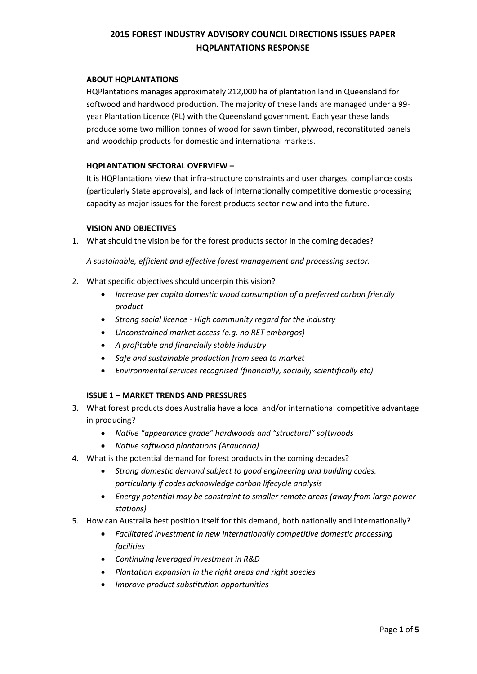## **ABOUT HQPLANTATIONS**

HQPlantations manages approximately 212,000 ha of plantation land in Queensland for softwood and hardwood production. The majority of these lands are managed under a 99 year Plantation Licence (PL) with the Queensland government. Each year these lands produce some two million tonnes of wood for sawn timber, plywood, reconstituted panels and woodchip products for domestic and international markets.

### **HQPLANTATION SECTORAL OVERVIEW –**

It is HQPlantations view that infra-structure constraints and user charges, compliance costs (particularly State approvals), and lack of internationally competitive domestic processing capacity as major issues for the forest products sector now and into the future.

#### **VISION AND OBJECTIVES**

1. What should the vision be for the forest products sector in the coming decades?

*A sustainable, efficient and effective forest management and processing sector.*

- 2. What specific objectives should underpin this vision?
	- *Increase per capita domestic wood consumption of a preferred carbon friendly product*
	- *Strong social licence - High community regard for the industry*
	- *Unconstrained market access (e.g. no RET embargos)*
	- *A profitable and financially stable industry*
	- *Safe and sustainable production from seed to market*
	- *Environmental services recognised (financially, socially, scientifically etc)*

## **ISSUE 1 – MARKET TRENDS AND PRESSURES**

- 3. What forest products does Australia have a local and/or international competitive advantage in producing?
	- *Native "appearance grade" hardwoods and "structural" softwoods*
	- *Native softwood plantations (Araucaria)*
- 4. What is the potential demand for forest products in the coming decades?
	- *Strong domestic demand subject to good engineering and building codes, particularly if codes acknowledge carbon lifecycle analysis*
	- *Energy potential may be constraint to smaller remote areas (away from large power stations)*
- 5. How can Australia best position itself for this demand, both nationally and internationally?
	- *Facilitated investment in new internationally competitive domestic processing facilities*
	- *Continuing leveraged investment in R&D*
	- *Plantation expansion in the right areas and right species*
	- *Improve product substitution opportunities*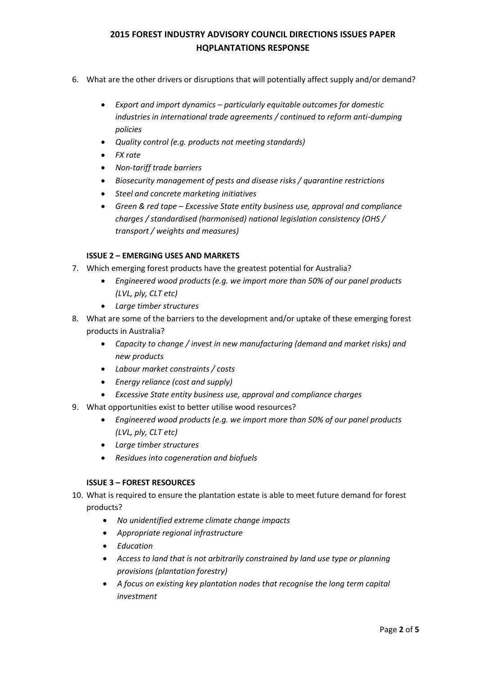- 6. What are the other drivers or disruptions that will potentially affect supply and/or demand?
	- *Export and import dynamics – particularly equitable outcomes for domestic industries in international trade agreements / continued to reform anti-dumping policies*
	- *Quality control (e.g. products not meeting standards)*
	- *FX rate*
	- *Non-tariff trade barriers*
	- *Biosecurity management of pests and disease risks / quarantine restrictions*
	- *Steel and concrete marketing initiatives*
	- *Green & red tape – Excessive State entity business use, approval and compliance charges / standardised (harmonised) national legislation consistency (OHS / transport / weights and measures)*

## **ISSUE 2 – EMERGING USES AND MARKETS**

- 7. Which emerging forest products have the greatest potential for Australia?
	- *Engineered wood products (e.g. we import more than 50% of our panel products (LVL, ply, CLT etc)*
	- *Large timber structures*
- 8. What are some of the barriers to the development and/or uptake of these emerging forest products in Australia?
	- *Capacity to change / invest in new manufacturing (demand and market risks) and new products*
	- *Labour market constraints / costs*
	- *Energy reliance (cost and supply)*
	- *Excessive State entity business use, approval and compliance charges*
- 9. What opportunities exist to better utilise wood resources?
	- *Engineered wood products (e.g. we import more than 50% of our panel products (LVL, ply, CLT etc)*
	- *Large timber structures*
	- *Residues into cogeneration and biofuels*

## **ISSUE 3 – FOREST RESOURCES**

- 10. What is required to ensure the plantation estate is able to meet future demand for forest products?
	- *No unidentified extreme climate change impacts*
	- *Appropriate regional infrastructure*
	- *Education*
	- *Access to land that is not arbitrarily constrained by land use type or planning provisions (plantation forestry)*
	- *A focus on existing key plantation nodes that recognise the long term capital investment*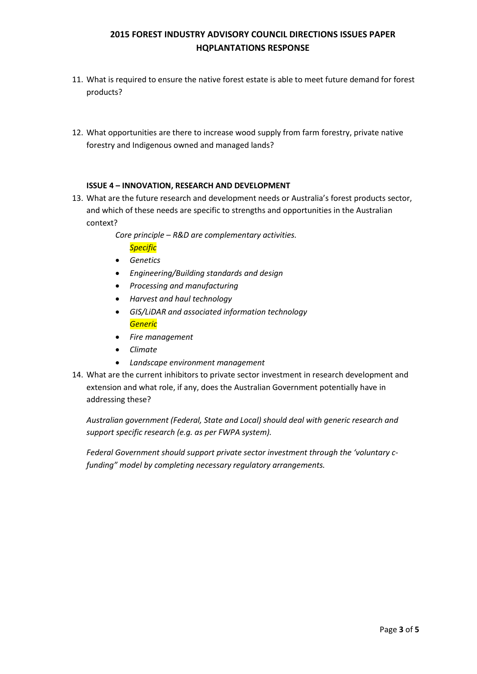- 11. What is required to ensure the native forest estate is able to meet future demand for forest products?
- 12. What opportunities are there to increase wood supply from farm forestry, private native forestry and Indigenous owned and managed lands?

## **ISSUE 4 – INNOVATION, RESEARCH AND DEVELOPMENT**

13. What are the future research and development needs or Australia's forest products sector, and which of these needs are specific to strengths and opportunities in the Australian context?

> *Core principle – R&D are complementary activities. Specific*

- *Genetics*
- *Engineering/Building standards and design*
- *Processing and manufacturing*
- *Harvest and haul technology*
- *GIS/LiDAR and associated information technology Generic*
- *Fire management*
- *Climate*
- *Landscape environment management*
- 14. What are the current inhibitors to private sector investment in research development and extension and what role, if any, does the Australian Government potentially have in addressing these?

*Australian government (Federal, State and Local) should deal with generic research and support specific research (e.g. as per FWPA system).*

*Federal Government should support private sector investment through the 'voluntary cfunding" model by completing necessary regulatory arrangements.*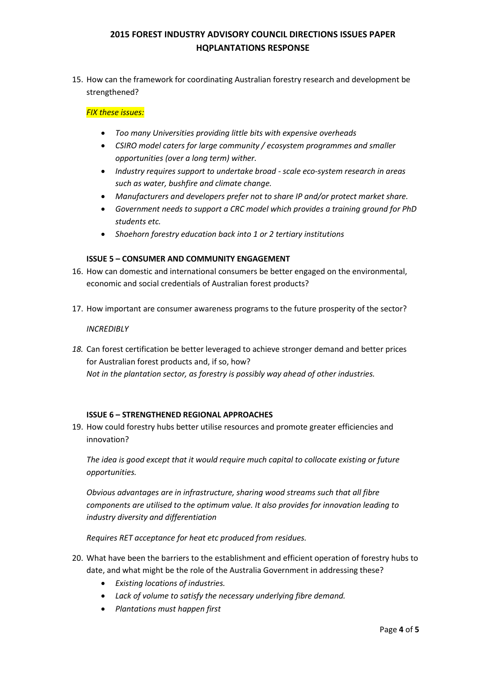15. How can the framework for coordinating Australian forestry research and development be strengthened?

## *FIX these issues:*

- *Too many Universities providing little bits with expensive overheads*
- *CSIRO model caters for large community / ecosystem programmes and smaller opportunities (over a long term) wither.*
- *Industry requires support to undertake broad - scale eco-system research in areas such as water, bushfire and climate change.*
- *Manufacturers and developers prefer not to share IP and/or protect market share.*
- *Government needs to support a CRC model which provides a training ground for PhD students etc.*
- *Shoehorn forestry education back into 1 or 2 tertiary institutions*

## **ISSUE 5 – CONSUMER AND COMMUNITY ENGAGEMENT**

- 16. How can domestic and international consumers be better engaged on the environmental, economic and social credentials of Australian forest products?
- 17. How important are consumer awareness programs to the future prosperity of the sector?

## *INCREDIBLY*

*18.* Can forest certification be better leveraged to achieve stronger demand and better prices for Australian forest products and, if so, how? *Not in the plantation sector, as forestry is possibly way ahead of other industries.*

## **ISSUE 6 – STRENGTHENED REGIONAL APPROACHES**

19. How could forestry hubs better utilise resources and promote greater efficiencies and innovation?

*The idea is good except that it would require much capital to collocate existing or future opportunities.*

*Obvious advantages are in infrastructure, sharing wood streams such that all fibre components are utilised to the optimum value. It also provides for innovation leading to industry diversity and differentiation*

*Requires RET acceptance for heat etc produced from residues.*

- 20. What have been the barriers to the establishment and efficient operation of forestry hubs to date, and what might be the role of the Australia Government in addressing these?
	- *Existing locations of industries.*
	- *Lack of volume to satisfy the necessary underlying fibre demand.*
	- *Plantations must happen first*